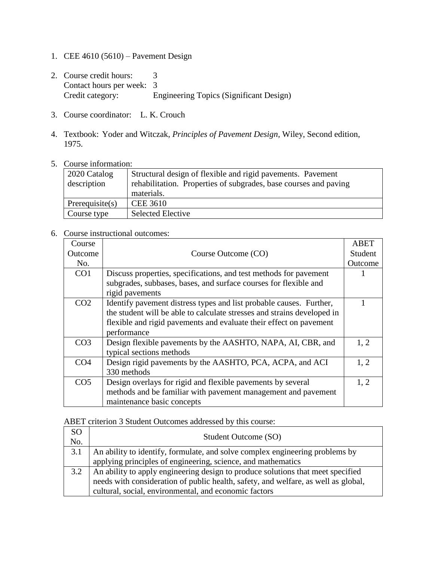- 1. CEE 4610 (5610) Pavement Design
- 2. Course credit hours: 3 Contact hours per week: 3<br>Credit category: E Engineering Topics (Significant Design)
- 3. Course coordinator: L. K. Crouch
- 4. Textbook: Yoder and Witczak, *Principles of Pavement Design,* Wiley, Second edition, 1975.
- 5. Course information:

| 2020 Catalog<br>description | Structural design of flexible and rigid pavements. Pavement<br>rehabilitation. Properties of subgrades, base courses and paving<br>materials. |
|-----------------------------|-----------------------------------------------------------------------------------------------------------------------------------------------|
| Prerequisite(s)             | <b>CEE 3610</b>                                                                                                                               |
| Course type                 | <b>Selected Elective</b>                                                                                                                      |

## 6. Course instructional outcomes:

| Course          |                                                                         | ABET    |
|-----------------|-------------------------------------------------------------------------|---------|
| <b>Outcome</b>  | Course Outcome (CO)                                                     | Student |
| No.             |                                                                         | Outcome |
| CO <sub>1</sub> | Discuss properties, specifications, and test methods for pavement       |         |
|                 | subgrades, subbases, bases, and surface courses for flexible and        |         |
|                 | rigid pavements                                                         |         |
| CO <sub>2</sub> | Identify pavement distress types and list probable causes. Further,     |         |
|                 | the student will be able to calculate stresses and strains developed in |         |
|                 | flexible and rigid pavements and evaluate their effect on pavement      |         |
|                 | performance                                                             |         |
| CO <sub>3</sub> | Design flexible pavements by the AASHTO, NAPA, AI, CBR, and             | 1, 2    |
|                 | typical sections methods                                                |         |
| CO <sub>4</sub> | Design rigid pavements by the AASHTO, PCA, ACPA, and ACI                | 1, 2    |
|                 | 330 methods                                                             |         |
| CO <sub>5</sub> | Design overlays for rigid and flexible pavements by several             | 1.2     |
|                 | methods and be familiar with pavement management and pavement           |         |
|                 | maintenance basic concepts                                              |         |

ABET criterion 3 Student Outcomes addressed by this course:

| <sub>SO</sub><br>No. | Student Outcome (SO)                                                               |
|----------------------|------------------------------------------------------------------------------------|
| 3.1                  | An ability to identify, formulate, and solve complex engineering problems by       |
|                      | applying principles of engineering, science, and mathematics                       |
| 3.2                  | An ability to apply engineering design to produce solutions that meet specified    |
|                      | needs with consideration of public health, safety, and welfare, as well as global, |
|                      | cultural, social, environmental, and economic factors                              |